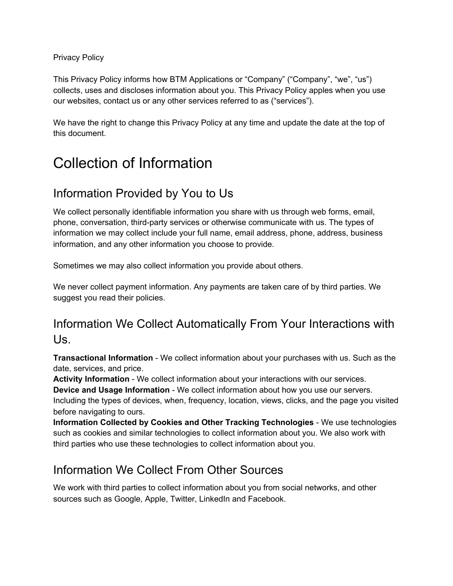#### Privacy Policy

This Privacy Policy informs how BTM Applications or "Company" ("Company", "we", "us") collects, uses and discloses information about you. This Privacy Policy apples when you use our websites, contact us or any other services referred to as ("services").

We have the right to change this Privacy Policy at any time and update the date at the top of this document.

#### Collection of Information

#### Information Provided by You to Us

We collect personally identifiable information you share with us through web forms, email, phone, conversation, third-party services or otherwise communicate with us. The types of information we may collect include your full name, email address, phone, address, business information, and any other information you choose to provide.

Sometimes we may also collect information you provide about others.

We never collect payment information. Any payments are taken care of by third parties. We suggest you read their policies.

#### Information We Collect Automatically From Your Interactions with Us.

**Transactional Information** - We collect information about your purchases with us. Such as the date, services, and price.

**Activity Information** - We collect information about your interactions with our services.

**Device and Usage Information** - We collect information about how you use our servers.

Including the types of devices, when, frequency, location, views, clicks, and the page you visited before navigating to ours.

**Information Collected by Cookies and Other Tracking Technologies** - We use technologies such as cookies and similar technologies to collect information about you. We also work with third parties who use these technologies to collect information about you.

#### Information We Collect From Other Sources

We work with third parties to collect information about you from social networks, and other sources such as Google, Apple, Twitter, LinkedIn and Facebook.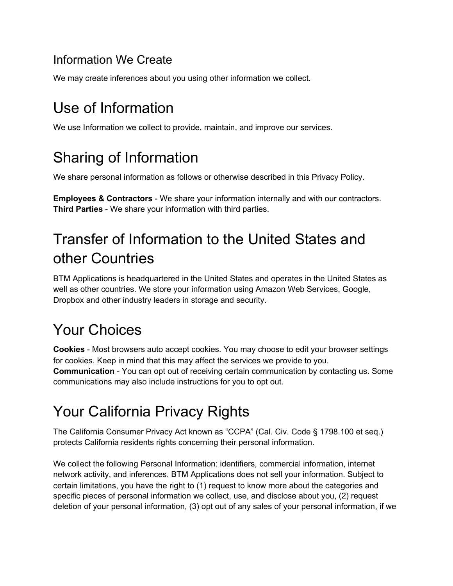#### Information We Create

We may create inferences about you using other information we collect.

### Use of Information

We use Information we collect to provide, maintain, and improve our services.

### Sharing of Information

We share personal information as follows or otherwise described in this Privacy Policy.

**Employees & Contractors** - We share your information internally and with our contractors. **Third Parties** - We share your information with third parties.

# Transfer of Information to the United States and other Countries

BTM Applications is headquartered in the United States and operates in the United States as well as other countries. We store your information using Amazon Web Services, Google, Dropbox and other industry leaders in storage and security.

# Your Choices

**Cookies** - Most browsers auto accept cookies. You may choose to edit your browser settings for cookies. Keep in mind that this may affect the services we provide to you. **Communication** - You can opt out of receiving certain communication by contacting us. Some communications may also include instructions for you to opt out.

# Your California Privacy Rights

The California Consumer Privacy Act known as "CCPA" (Cal. Civ. Code § 1798.100 et seq.) protects California residents rights concerning their personal information.

We collect the following Personal Information: identifiers, commercial information, internet network activity, and inferences. BTM Applications does not sell your information. Subject to certain limitations, you have the right to (1) request to know more about the categories and specific pieces of personal information we collect, use, and disclose about you, (2) request deletion of your personal information, (3) opt out of any sales of your personal information, if we